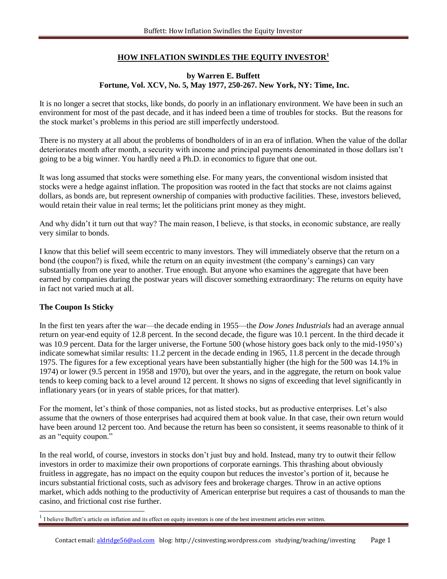# **HOW INFLATION SWINDLES THE EQUITY INVESTOR<sup>1</sup>**

### **by Warren E. Buffett Fortune, Vol. XCV, No. 5, May 1977, 250-267. New York, NY: Time, Inc.**

It is no longer a secret that stocks, like bonds, do poorly in an inflationary environment. We have been in such an environment for most of the past decade, and it has indeed been a time of troubles for stocks. But the reasons for the stock market's problems in this period are still imperfectly understood.

There is no mystery at all about the problems of bondholders of in an era of inflation. When the value of the dollar deteriorates month after month, a security with income and principal payments denominated in those dollars isn't going to be a big winner. You hardly need a Ph.D. in economics to figure that one out.

It was long assumed that stocks were something else. For many years, the conventional wisdom insisted that stocks were a hedge against inflation. The proposition was rooted in the fact that stocks are not claims against dollars, as bonds are, but represent ownership of companies with productive facilities. These, investors believed, would retain their value in real terms; let the politicians print money as they might.

And why didn't it turn out that way? The main reason, I believe, is that stocks, in economic substance, are really very similar to bonds.

I know that this belief will seem eccentric to many investors. They will immediately observe that the return on a bond (the coupon?) is fixed, while the return on an equity investment (the company's earnings) can vary substantially from one year to another. True enough. But anyone who examines the aggregate that have been earned by companies during the postwar years will discover something extraordinary: The returns on equity have in fact not varied much at all.

### **The Coupon Is Sticky**

 $\overline{a}$ 

In the first ten years after the war—the decade ending in 1955—the *Dow Jones Industrials* had an average annual return on year-end equity of 12.8 percent. In the second decade, the figure was 10.1 percent. In the third decade it was 10.9 percent. Data for the larger universe, the Fortune 500 (whose history goes back only to the mid-1950's) indicate somewhat similar results: 11.2 percent in the decade ending in 1965, 11.8 percent in the decade through 1975. The figures for a few exceptional years have been substantially higher (the high for the 500 was 14.1% in 1974) or lower (9.5 percent in 1958 and 1970), but over the years, and in the aggregate, the return on book value tends to keep coming back to a level around 12 percent. It shows no signs of exceeding that level significantly in inflationary years (or in years of stable prices, for that matter).

For the moment, let's think of those companies, not as listed stocks, but as productive enterprises. Let's also assume that the owners of those enterprises had acquired them at book value. In that case, their own return would have been around 12 percent too. And because the return has been so consistent, it seems reasonable to think of it as an "equity coupon."

In the real world, of course, investors in stocks don't just buy and hold. Instead, many try to outwit their fellow investors in order to maximize their own proportions of corporate earnings. This thrashing about obviously fruitless in aggregate, has no impact on the equity coupon but reduces the investor's portion of it, because he incurs substantial frictional costs, such as advisory fees and brokerage charges. Throw in an active options market, which adds nothing to the productivity of American enterprise but requires a cast of thousands to man the casino, and frictional cost rise further.

<sup>1</sup> I believe Buffett's article on inflation and its effect on equity investors is one of the best investment articles ever written.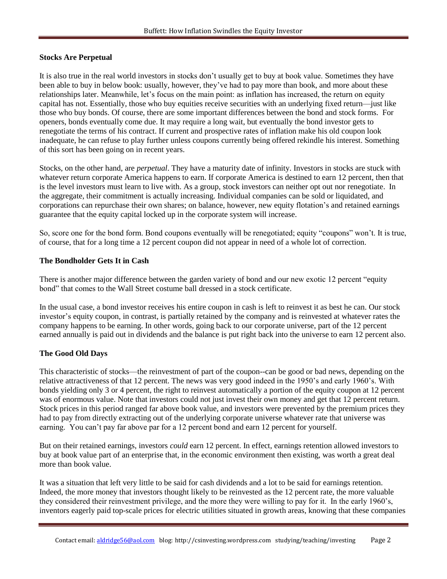### **Stocks Are Perpetual**

It is also true in the real world investors in stocks don't usually get to buy at book value. Sometimes they have been able to buy in below book: usually, however, they've had to pay more than book, and more about these relationships later. Meanwhile, let's focus on the main point: as inflation has increased, the return on equity capital has not. Essentially, those who buy equities receive securities with an underlying fixed return—just like those who buy bonds. Of course, there are some important differences between the bond and stock forms. For openers, bonds eventually come due. It may require a long wait, but eventually the bond investor gets to renegotiate the terms of his contract. If current and prospective rates of inflation make his old coupon look inadequate, he can refuse to play further unless coupons currently being offered rekindle his interest. Something of this sort has been going on in recent years.

Stocks, on the other hand, are *perpetual*. They have a maturity date of infinity. Investors in stocks are stuck with whatever return corporate America happens to earn. If corporate America is destined to earn 12 percent, then that is the level investors must learn to live with. As a group, stock investors can neither opt out nor renegotiate. In the aggregate, their commitment is actually increasing. Individual companies can be sold or liquidated, and corporations can repurchase their own shares; on balance, however, new equity flotation's and retained earnings guarantee that the equity capital locked up in the corporate system will increase.

So, score one for the bond form. Bond coupons eventually will be renegotiated; equity "coupons" won't. It is true, of course, that for a long time a 12 percent coupon did not appear in need of a whole lot of correction.

### **The Bondholder Gets It in Cash**

There is another major difference between the garden variety of bond and our new exotic 12 percent "equity" bond" that comes to the Wall Street costume ball dressed in a stock certificate.

In the usual case, a bond investor receives his entire coupon in cash is left to reinvest it as best he can. Our stock investor's equity coupon, in contrast, is partially retained by the company and is reinvested at whatever rates the company happens to be earning. In other words, going back to our corporate universe, part of the 12 percent earned annually is paid out in dividends and the balance is put right back into the universe to earn 12 percent also.

### **The Good Old Days**

This characteristic of stocks—the reinvestment of part of the coupon--can be good or bad news, depending on the relative attractiveness of that 12 percent. The news was very good indeed in the 1950's and early 1960's. With bonds yielding only 3 or 4 percent, the right to reinvest automatically a portion of the equity coupon at 12 percent was of enormous value. Note that investors could not just invest their own money and get that 12 percent return. Stock prices in this period ranged far above book value, and investors were prevented by the premium prices they had to pay from directly extracting out of the underlying corporate universe whatever rate that universe was earning. You can't pay far above par for a 12 percent bond and earn 12 percent for yourself.

But on their retained earnings, investors *could* earn 12 percent. In effect, earnings retention allowed investors to buy at book value part of an enterprise that, in the economic environment then existing, was worth a great deal more than book value.

It was a situation that left very little to be said for cash dividends and a lot to be said for earnings retention. Indeed, the more money that investors thought likely to be reinvested as the 12 percent rate, the more valuable they considered their reinvestment privilege, and the more they were willing to pay for it. In the early 1960's, inventors eagerly paid top-scale prices for electric utilities situated in growth areas, knowing that these companies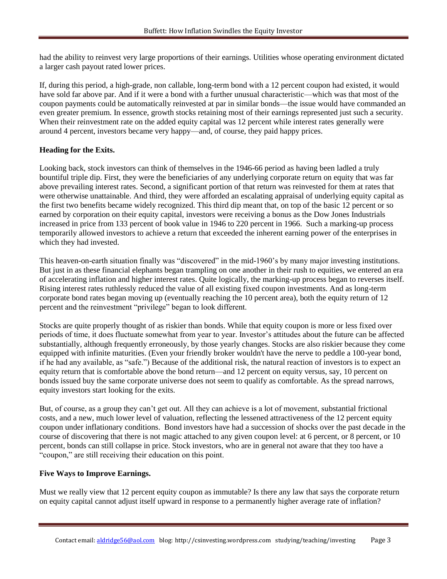had the ability to reinvest very large proportions of their earnings. Utilities whose operating environment dictated a larger cash payout rated lower prices.

If, during this period, a high-grade, non callable, long-term bond with a 12 percent coupon had existed, it would have sold far above par. And if it were a bond with a further unusual characteristic—which was that most of the coupon payments could be automatically reinvested at par in similar bonds—the issue would have commanded an even greater premium. In essence, growth stocks retaining most of their earnings represented just such a security. When their reinvestment rate on the added equity capital was 12 percent while interest rates generally were around 4 percent, investors became very happy—and, of course, they paid happy prices.

### **Heading for the Exits.**

Looking back, stock investors can think of themselves in the 1946-66 period as having been ladled a truly bountiful triple dip. First, they were the beneficiaries of any underlying corporate return on equity that was far above prevailing interest rates. Second, a significant portion of that return was reinvested for them at rates that were otherwise unattainable. And third, they were afforded an escalating appraisal of underlying equity capital as the first two benefits became widely recognized. This third dip meant that, on top of the basic 12 percent or so earned by corporation on their equity capital, investors were receiving a bonus as the Dow Jones Industrials increased in price from 133 percent of book value in 1946 to 220 percent in 1966. Such a marking-up process temporarily allowed investors to achieve a return that exceeded the inherent earning power of the enterprises in which they had invested.

This heaven-on-earth situation finally was "discovered" in the mid-1960's by many major investing institutions. But just in as these financial elephants began trampling on one another in their rush to equities, we entered an era of accelerating inflation and higher interest rates. Quite logically, the marking-up process began to reverses itself. Rising interest rates ruthlessly reduced the value of all existing fixed coupon investments. And as long-term corporate bond rates began moving up (eventually reaching the 10 percent area), both the equity return of 12 percent and the reinvestment "privilege" began to look different.

Stocks are quite properly thought of as riskier than bonds. While that equity coupon is more or less fixed over periods of time, it does fluctuate somewhat from year to year. Investor's attitudes about the future can be affected substantially, although frequently erroneously, by those yearly changes. Stocks are also riskier because they come equipped with infinite maturities. (Even your friendly broker wouldn't have the nerve to peddle a 100-year bond, if he had any available, as "safe.") Because of the additional risk, the natural reaction of investors is to expect an equity return that is comfortable above the bond return—and 12 percent on equity versus, say, 10 percent on bonds issued buy the same corporate universe does not seem to qualify as comfortable. As the spread narrows, equity investors start looking for the exits.

But, of course, as a group they can't get out. All they can achieve is a lot of movement, substantial frictional costs, and a new, much lower level of valuation, reflecting the lessened attractiveness of the 12 percent equity coupon under inflationary conditions. Bond investors have had a succession of shocks over the past decade in the course of discovering that there is not magic attached to any given coupon level: at 6 percent, or 8 percent, or 10 percent, bonds can still collapse in price. Stock investors, who are in general not aware that they too have a "coupon," are still receiving their education on this point.

# **Five Ways to Improve Earnings.**

Must we really view that 12 percent equity coupon as immutable? Is there any law that says the corporate return on equity capital cannot adjust itself upward in response to a permanently higher average rate of inflation?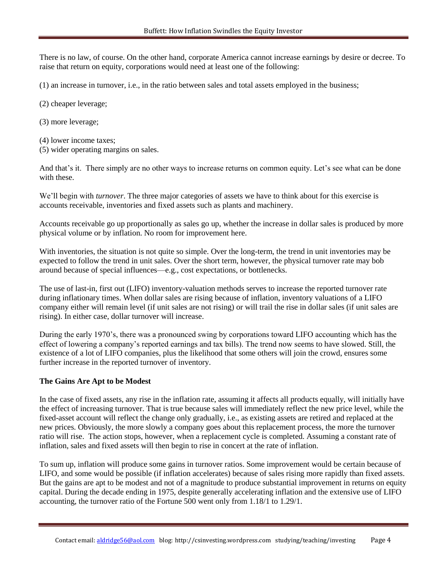There is no law, of course. On the other hand, corporate America cannot increase earnings by desire or decree. To raise that return on equity, corporations would need at least one of the following:

(1) an increase in turnover, i.e., in the ratio between sales and total assets employed in the business;

- (2) cheaper leverage;
- (3) more leverage;
- (4) lower income taxes;
- (5) wider operating margins on sales.

And that's it. There simply are no other ways to increase returns on common equity. Let's see what can be done with these.

We'll begin with *turnover*. The three major categories of assets we have to think about for this exercise is accounts receivable, inventories and fixed assets such as plants and machinery.

Accounts receivable go up proportionally as sales go up, whether the increase in dollar sales is produced by more physical volume or by inflation. No room for improvement here.

With inventories, the situation is not quite so simple. Over the long-term, the trend in unit inventories may be expected to follow the trend in unit sales. Over the short term, however, the physical turnover rate may bob around because of special influences—e.g., cost expectations, or bottlenecks.

The use of last-in, first out (LIFO) inventory-valuation methods serves to increase the reported turnover rate during inflationary times. When dollar sales are rising because of inflation, inventory valuations of a LIFO company either will remain level (if unit sales are not rising) or will trail the rise in dollar sales (if unit sales are rising). In either case, dollar turnover will increase.

During the early 1970's, there was a pronounced swing by corporations toward LIFO accounting which has the effect of lowering a company's reported earnings and tax bills). The trend now seems to have slowed. Still, the existence of a lot of LIFO companies, plus the likelihood that some others will join the crowd, ensures some further increase in the reported turnover of inventory.

### **The Gains Are Apt to be Modest**

In the case of fixed assets, any rise in the inflation rate, assuming it affects all products equally, will initially have the effect of increasing turnover. That is true because sales will immediately reflect the new price level, while the fixed-asset account will reflect the change only gradually, i.e., as existing assets are retired and replaced at the new prices. Obviously, the more slowly a company goes about this replacement process, the more the turnover ratio will rise. The action stops, however, when a replacement cycle is completed. Assuming a constant rate of inflation, sales and fixed assets will then begin to rise in concert at the rate of inflation.

To sum up, inflation will produce some gains in turnover ratios. Some improvement would be certain because of LIFO, and some would be possible (if inflation accelerates) because of sales rising more rapidly than fixed assets. But the gains are apt to be modest and not of a magnitude to produce substantial improvement in returns on equity capital. During the decade ending in 1975, despite generally accelerating inflation and the extensive use of LIFO accounting, the turnover ratio of the Fortune 500 went only from 1.18/1 to 1.29/1.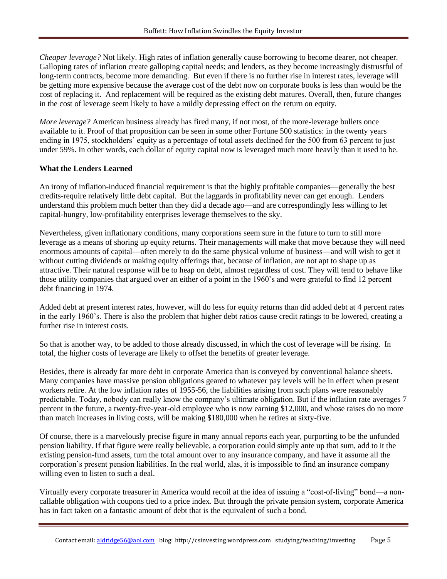*Cheaper leverage?* Not likely. High rates of inflation generally cause borrowing to become dearer, not cheaper. Galloping rates of inflation create galloping capital needs; and lenders, as they become increasingly distrustful of long-term contracts, become more demanding. But even if there is no further rise in interest rates, leverage will be getting more expensive because the average cost of the debt now on corporate books is less than would be the cost of replacing it. And replacement will be required as the existing debt matures. Overall, then, future changes in the cost of leverage seem likely to have a mildly depressing effect on the return on equity.

*More leverage?* American business already has fired many, if not most, of the more-leverage bullets once available to it. Proof of that proposition can be seen in some other Fortune 500 statistics: in the twenty years ending in 1975, stockholders' equity as a percentage of total assets declined for the 500 from 63 percent to just under 59%. In other words, each dollar of equity capital now is leveraged much more heavily than it used to be.

# **What the Lenders Learned**

An irony of inflation-induced financial requirement is that the highly profitable companies—generally the best credits-require relatively little debt capital. But the laggards in profitability never can get enough. Lenders understand this problem much better than they did a decade ago—and are correspondingly less willing to let capital-hungry, low-profitability enterprises leverage themselves to the sky.

Nevertheless, given inflationary conditions, many corporations seem sure in the future to turn to still more leverage as a means of shoring up equity returns. Their managements will make that move because they will need enormous amounts of capital—often merely to do the same physical volume of business—and will wish to get it without cutting dividends or making equity offerings that, because of inflation, are not apt to shape up as attractive. Their natural response will be to heap on debt, almost regardless of cost. They will tend to behave like those utility companies that argued over an either of a point in the 1960's and were grateful to find 12 percent debt financing in 1974.

Added debt at present interest rates, however, will do less for equity returns than did added debt at 4 percent rates in the early 1960's. There is also the problem that higher debt ratios cause credit ratings to be lowered, creating a further rise in interest costs.

So that is another way, to be added to those already discussed, in which the cost of leverage will be rising. In total, the higher costs of leverage are likely to offset the benefits of greater leverage.

Besides, there is already far more debt in corporate America than is conveyed by conventional balance sheets. Many companies have massive pension obligations geared to whatever pay levels will be in effect when present workers retire. At the low inflation rates of 1955-56, the liabilities arising from such plans were reasonably predictable. Today, nobody can really know the company's ultimate obligation. But if the inflation rate averages 7 percent in the future, a twenty-five-year-old employee who is now earning \$12,000, and whose raises do no more than match increases in living costs, will be making \$180,000 when he retires at sixty-five.

Of course, there is a marvelously precise figure in many annual reports each year, purporting to be the unfunded pension liability. If that figure were really believable, a corporation could simply ante up that sum, add to it the existing pension-fund assets, turn the total amount over to any insurance company, and have it assume all the corporation's present pension liabilities. In the real world, alas, it is impossible to find an insurance company willing even to listen to such a deal.

Virtually every corporate treasurer in America would recoil at the idea of issuing a "cost-of-living" bond—a noncallable obligation with coupons tied to a price index. But through the private pension system, corporate America has in fact taken on a fantastic amount of debt that is the equivalent of such a bond.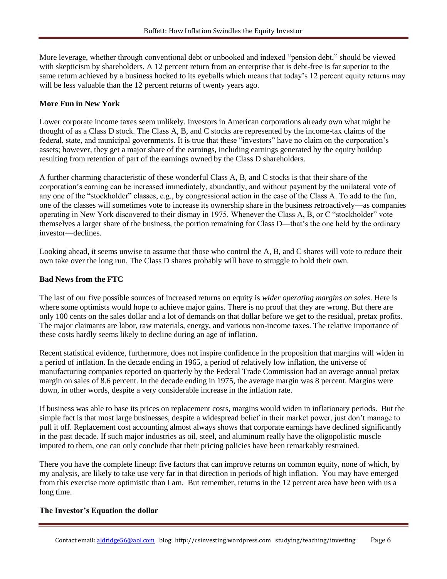More leverage, whether through conventional debt or unbooked and indexed "pension debt," should be viewed with skepticism by shareholders. A 12 percent return from an enterprise that is debt-free is far superior to the same return achieved by a business hocked to its eyeballs which means that today's 12 percent equity returns may will be less valuable than the 12 percent returns of twenty years ago.

### **More Fun in New York**

Lower corporate income taxes seem unlikely. Investors in American corporations already own what might be thought of as a Class D stock. The Class A, B, and C stocks are represented by the income-tax claims of the federal, state, and municipal governments. It is true that these "investors" have no claim on the corporation's assets; however, they get a major share of the earnings, including earnings generated by the equity buildup resulting from retention of part of the earnings owned by the Class D shareholders.

A further charming characteristic of these wonderful Class A, B, and C stocks is that their share of the corporation's earning can be increased immediately, abundantly, and without payment by the unilateral vote of any one of the "stockholder" classes, e.g., by congressional action in the case of the Class A. To add to the fun, one of the classes will sometimes vote to increase its ownership share in the business retroactively—as companies operating in New York discovered to their dismay in 1975. Whenever the Class A, B, or C "stockholder" vote themselves a larger share of the business, the portion remaining for Class D—that's the one held by the ordinary investor—declines.

Looking ahead, it seems unwise to assume that those who control the A, B, and C shares will vote to reduce their own take over the long run. The Class D shares probably will have to struggle to hold their own.

### **Bad News from the FTC**

The last of our five possible sources of increased returns on equity is *wider operating margins on sales*. Here is where some optimists would hope to achieve major gains. There is no proof that they are wrong. But there are only 100 cents on the sales dollar and a lot of demands on that dollar before we get to the residual, pretax profits. The major claimants are labor, raw materials, energy, and various non-income taxes. The relative importance of these costs hardly seems likely to decline during an age of inflation.

Recent statistical evidence, furthermore, does not inspire confidence in the proposition that margins will widen in a period of inflation. In the decade ending in 1965, a period of relatively low inflation, the universe of manufacturing companies reported on quarterly by the Federal Trade Commission had an average annual pretax margin on sales of 8.6 percent. In the decade ending in 1975, the average margin was 8 percent. Margins were down, in other words, despite a very considerable increase in the inflation rate.

If business was able to base its prices on replacement costs, margins would widen in inflationary periods. But the simple fact is that most large businesses, despite a widespread belief in their market power, just don't manage to pull it off. Replacement cost accounting almost always shows that corporate earnings have declined significantly in the past decade. If such major industries as oil, steel, and aluminum really have the oligopolistic muscle imputed to them, one can only conclude that their pricing policies have been remarkably restrained.

There you have the complete lineup: five factors that can improve returns on common equity, none of which, by my analysis, are likely to take use very far in that direction in periods of high inflation. You may have emerged from this exercise more optimistic than I am. But remember, returns in the 12 percent area have been with us a long time.

#### **The Investor's Equation the dollar**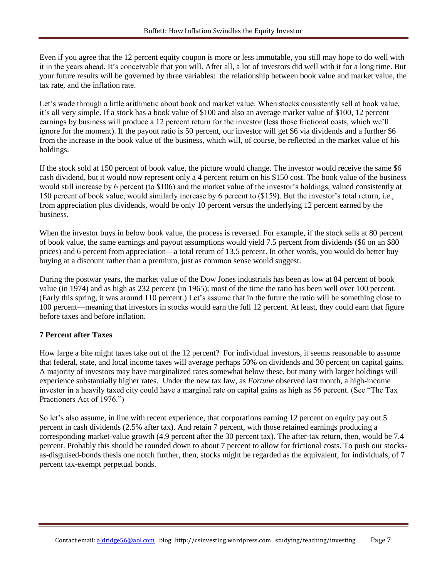Even if you agree that the 12 percent equity coupon is more or less immutable, you still may hope to do well with it in the years ahead. It's conceivable that you will. After all, a lot of investors did well with it for a long time. But your future results will be governed by three variables: the relationship between book value and market value, the tax rate, and the inflation rate.

Let's wade through a little arithmetic about book and market value. When stocks consistently sell at book value, it's all very simple. If a stock has a book value of \$100 and also an average market value of \$100, 12 percent earnings by business will produce a 12 percent return for the investor (less those frictional costs, which we'll ignore for the moment). If the payout ratio is 50 percent, our investor will get \$6 via dividends and a further \$6 from the increase in the book value of the business, which will, of course, be reflected in the market value of his holdings.

If the stock sold at 150 percent of book value, the picture would change. The investor would receive the same \$6 cash dividend, but it would now represent only a 4 percent return on his \$150 cost. The book value of the business would still increase by 6 percent (to \$106) and the market value of the investor's holdings, valued consistently at 150 percent of book value, would similarly increase by 6 percent to (\$159). But the investor's total return, i.e., from appreciation plus dividends, would be only 10 percent versus the underlying 12 percent earned by the business.

When the investor buys in below book value, the process is reversed. For example, if the stock sells at 80 percent of book value, the same earnings and payout assumptions would yield 7.5 percent from dividends (\$6 on an \$80 prices) and 6 percent from appreciation—a total return of 13.5 percent. In other words, you would do better buy buying at a discount rather than a premium, just as common sense would suggest.

During the postwar years, the market value of the Dow Jones industrials has been as low at 84 percent of book value (in 1974) and as high as 232 percent (in 1965); most of the time the ratio has been well over 100 percent. (Early this spring, it was around 110 percent.) Let's assume that in the future the ratio will be something close to 100 percent—meaning that investors in stocks would earn the full 12 percent. At least, they could earn that figure before taxes and before inflation.

### **7 Percent after Taxes**

How large a bite might taxes take out of the 12 percent? For individual investors, it seems reasonable to assume that federal, state, and local income taxes will average perhaps 50% on dividends and 30 percent on capital gains. A majority of investors may have marginalized rates somewhat below these, but many with larger holdings will experience substantially higher rates. Under the new tax law, as *Fortune* observed last month, a high-income investor in a heavily taxed city could have a marginal rate on capital gains as high as 56 percent. (See "The Tax Practioners Act of 1976."

So let's also assume, in line with recent experience, that corporations earning 12 percent on equity pay out 5 percent in cash dividends (2.5% after tax). And retain 7 percent, with those retained earnings producing a corresponding market-value growth (4.9 percent after the 30 percent tax). The after-tax return, then, would be 7.4 percent. Probably this should be rounded down to about 7 percent to allow for frictional costs. To push our stocksas-disguised-bonds thesis one notch further, then, stocks might be regarded as the equivalent, for individuals, of 7 percent tax-exempt perpetual bonds.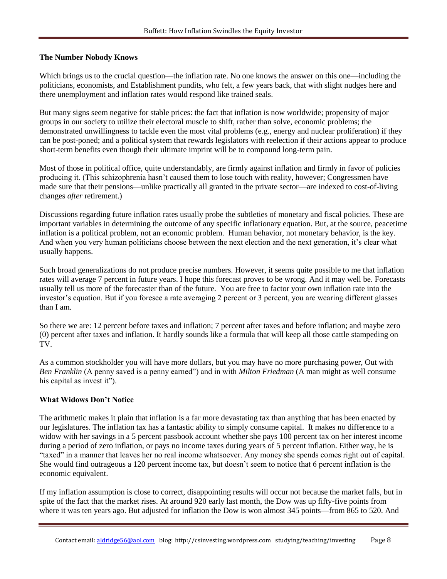### **The Number Nobody Knows**

Which brings us to the crucial question—the inflation rate. No one knows the answer on this one—including the politicians, economists, and Establishment pundits, who felt, a few years back, that with slight nudges here and there unemployment and inflation rates would respond like trained seals.

But many signs seem negative for stable prices: the fact that inflation is now worldwide; propensity of major groups in our society to utilize their electoral muscle to shift, rather than solve, economic problems; the demonstrated unwillingness to tackle even the most vital problems (e.g., energy and nuclear proliferation) if they can be post-poned; and a political system that rewards legislators with reelection if their actions appear to produce short-term benefits even though their ultimate imprint will be to compound long-term pain.

Most of those in political office, quite understandably, are firmly against inflation and firmly in favor of policies producing it. (This schizophrenia hasn't caused them to lose touch with reality, however; Congressmen have made sure that their pensions—unlike practically all granted in the private sector—are indexed to cost-of-living changes *after* retirement.)

Discussions regarding future inflation rates usually probe the subtleties of monetary and fiscal policies. These are important variables in determining the outcome of any specific inflationary equation. But, at the source, peacetime inflation is a political problem, not an economic problem. Human behavior, not monetary behavior, is the key. And when you very human politicians choose between the next election and the next generation, it's clear what usually happens.

Such broad generalizations do not produce precise numbers. However, it seems quite possible to me that inflation rates will average 7 percent in future years. I hope this forecast proves to be wrong. And it may well be. Forecasts usually tell us more of the forecaster than of the future. You are free to factor your own inflation rate into the investor's equation. But if you foresee a rate averaging 2 percent or 3 percent, you are wearing different glasses than I am.

So there we are: 12 percent before taxes and inflation; 7 percent after taxes and before inflation; and maybe zero (0) percent after taxes and inflation. It hardly sounds like a formula that will keep all those cattle stampeding on TV.

As a common stockholder you will have more dollars, but you may have no more purchasing power, Out with *Ben Franklin* (A penny saved is a penny earned") and in with *Milton Friedman* (A man might as well consume his capital as invest it").

### **What Widows Don't Notice**

The arithmetic makes it plain that inflation is a far more devastating tax than anything that has been enacted by our legislatures. The inflation tax has a fantastic ability to simply consume capital. It makes no difference to a widow with her savings in a 5 percent passbook account whether she pays 100 percent tax on her interest income during a period of zero inflation, or pays no income taxes during years of 5 percent inflation. Either way, he is ―taxed‖ in a manner that leaves her no real income whatsoever. Any money she spends comes right out of capital. She would find outrageous a 120 percent income tax, but doesn't seem to notice that 6 percent inflation is the economic equivalent.

If my inflation assumption is close to correct, disappointing results will occur not because the market falls, but in spite of the fact that the market rises. At around 920 early last month, the Dow was up fifty-five points from where it was ten years ago. But adjusted for inflation the Dow is won almost 345 points—from 865 to 520. And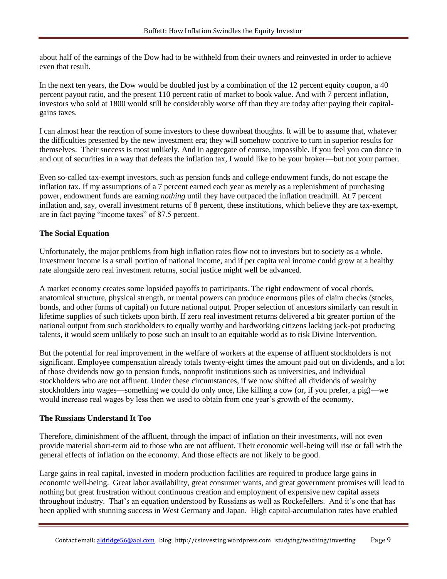about half of the earnings of the Dow had to be withheld from their owners and reinvested in order to achieve even that result.

In the next ten years, the Dow would be doubled just by a combination of the 12 percent equity coupon, a 40 percent payout ratio, and the present 110 percent ratio of market to book value. And with 7 percent inflation, investors who sold at 1800 would still be considerably worse off than they are today after paying their capitalgains taxes.

I can almost hear the reaction of some investors to these downbeat thoughts. It will be to assume that, whatever the difficulties presented by the new investment era; they will somehow contrive to turn in superior results for themselves. Their success is most unlikely. And in aggregate of course, impossible. If you feel you can dance in and out of securities in a way that defeats the inflation tax, I would like to be your broker—but not your partner.

Even so-called tax-exempt investors, such as pension funds and college endowment funds, do not escape the inflation tax. If my assumptions of a 7 percent earned each year as merely as a replenishment of purchasing power, endowment funds are earning *nothing* until they have outpaced the inflation treadmill. At 7 percent inflation and, say, overall investment returns of 8 percent, these institutions, which believe they are tax-exempt, are in fact paying "income taxes" of 87.5 percent.

# **The Social Equation**

Unfortunately, the major problems from high inflation rates flow not to investors but to society as a whole. Investment income is a small portion of national income, and if per capita real income could grow at a healthy rate alongside zero real investment returns, social justice might well be advanced.

A market economy creates some lopsided payoffs to participants. The right endowment of vocal chords, anatomical structure, physical strength, or mental powers can produce enormous piles of claim checks (stocks, bonds, and other forms of capital) on future national output. Proper selection of ancestors similarly can result in lifetime supplies of such tickets upon birth. If zero real investment returns delivered a bit greater portion of the national output from such stockholders to equally worthy and hardworking citizens lacking jack-pot producing talents, it would seem unlikely to pose such an insult to an equitable world as to risk Divine Intervention.

But the potential for real improvement in the welfare of workers at the expense of affluent stockholders is not significant. Employee compensation already totals twenty-eight times the amount paid out on dividends, and a lot of those dividends now go to pension funds, nonprofit institutions such as universities, and individual stockholders who are not affluent. Under these circumstances, if we now shifted all dividends of wealthy stockholders into wages—something we could do only once, like killing a cow (or, if you prefer, a pig)—we would increase real wages by less then we used to obtain from one year's growth of the economy.

### **The Russians Understand It Too**

Therefore, diminishment of the affluent, through the impact of inflation on their investments, will not even provide material short-term aid to those who are not affluent. Their economic well-being will rise or fall with the general effects of inflation on the economy. And those effects are not likely to be good.

Large gains in real capital, invested in modern production facilities are required to produce large gains in economic well-being. Great labor availability, great consumer wants, and great government promises will lead to nothing but great frustration without continuous creation and employment of expensive new capital assets throughout industry. That's an equation understood by Russians as well as Rockefellers. And it's one that has been applied with stunning success in West Germany and Japan. High capital-accumulation rates have enabled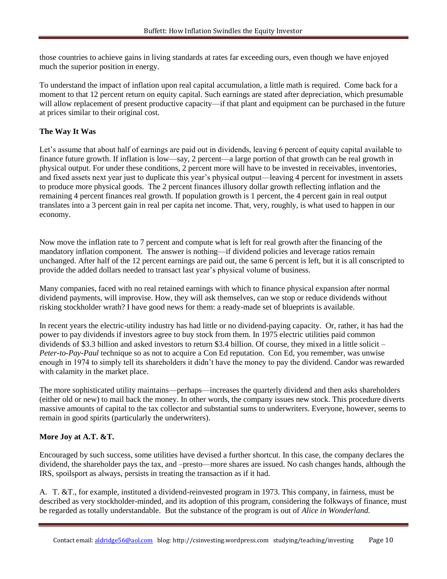those countries to achieve gains in living standards at rates far exceeding ours, even though we have enjoyed much the superior position in energy.

To understand the impact of inflation upon real capital accumulation, a little math is required. Come back for a moment to that 12 percent return on equity capital. Such earnings are stated after depreciation, which presumable will allow replacement of present productive capacity—if that plant and equipment can be purchased in the future at prices similar to their original cost.

### **The Way It Was**

Let's assume that about half of earnings are paid out in dividends, leaving 6 percent of equity capital available to finance future growth. If inflation is low—say, 2 percent—a large portion of that growth can be real growth in physical output. For under these conditions, 2 percent more will have to be invested in receivables, inventories, and fixed assets next year just to duplicate this year's physical output—leaving 4 percent for investment in assets to produce more physical goods. The 2 percent finances illusory dollar growth reflecting inflation and the remaining 4 percent finances real growth. If population growth is 1 percent, the 4 percent gain in real output translates into a 3 percent gain in real per capita net income. That, very, roughly, is what used to happen in our economy.

Now move the inflation rate to 7 percent and compute what is left for real growth after the financing of the mandatory inflation component. The answer is nothing—if dividend policies and leverage ratios remain unchanged. After half of the 12 percent earnings are paid out, the same 6 percent is left, but it is all conscripted to provide the added dollars needed to transact last year's physical volume of business.

Many companies, faced with no real retained earnings with which to finance physical expansion after normal dividend payments, will improvise. How, they will ask themselves, can we stop or reduce dividends without risking stockholder wrath? I have good news for them: a ready-made set of blueprints is available.

In recent years the electric-utility industry has had little or no dividend-paying capacity. Or, rather, it has had the power to pay dividends if investors agree to buy stock from them. In 1975 electric utilities paid common dividends of \$3.3 billion and asked investors to return \$3.4 billion. Of course, they mixed in a little solicit – *Peter-to-Pay-Paul* technique so as not to acquire a Con Ed reputation. Con Ed, you remember, was unwise enough in 1974 to simply tell its shareholders it didn't have the money to pay the dividend. Candor was rewarded with calamity in the market place.

The more sophisticated utility maintains—perhaps—increases the quarterly dividend and then asks shareholders (either old or new) to mail back the money. In other words, the company issues new stock. This procedure diverts massive amounts of capital to the tax collector and substantial sums to underwriters. Everyone, however, seems to remain in good spirits (particularly the underwriters).

# **More Joy at A.T. &T.**

Encouraged by such success, some utilities have devised a further shortcut. In this case, the company declares the dividend, the shareholder pays the tax, and –presto—more shares are issued. No cash changes hands, although the IRS, spoilsport as always, persists in treating the transaction as if it had.

A. T. &T., for example, instituted a dividend-reinvested program in 1973. This company, in fairness, must be described as very stockholder-minded, and its adoption of this program, considering the folkways of finance, must be regarded as totally understandable. But the substance of the program is out of *Alice in Wonderland.*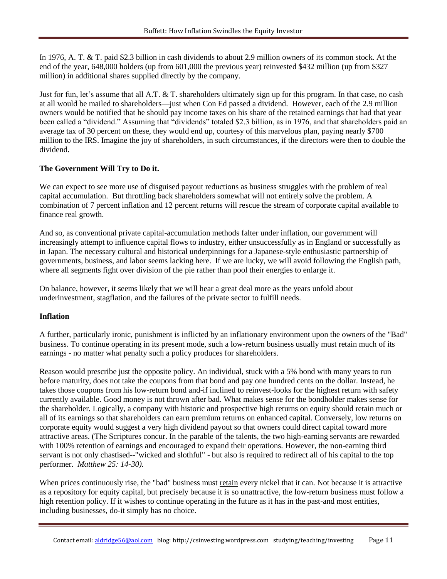In 1976, A. T. & T. paid \$2.3 billion in cash dividends to about 2.9 million owners of its common stock. At the end of the year, 648,000 holders (up from 601,000 the previous year) reinvested \$432 million (up from \$327 million) in additional shares supplied directly by the company.

Just for fun, let's assume that all A.T. & T. shareholders ultimately sign up for this program. In that case, no cash at all would be mailed to shareholders—just when Con Ed passed a dividend. However, each of the 2.9 million owners would be notified that he should pay income taxes on his share of the retained earnings that had that year been called a "dividend." Assuming that "dividends" totaled \$2.3 billion, as in 1976, and that shareholders paid an average tax of 30 percent on these, they would end up, courtesy of this marvelous plan, paying nearly \$700 million to the IRS. Imagine the joy of shareholders, in such circumstances, if the directors were then to double the dividend.

### **The Government Will Try to Do it.**

We can expect to see more use of disguised payout reductions as business struggles with the problem of real capital accumulation. But throttling back shareholders somewhat will not entirely solve the problem. A combination of 7 percent inflation and 12 percent returns will rescue the stream of corporate capital available to finance real growth.

And so, as conventional private capital-accumulation methods falter under inflation, our government will increasingly attempt to influence capital flows to industry, either unsuccessfully as in England or successfully as in Japan. The necessary cultural and historical underpinnings for a Japanese-style enthusiastic partnership of governments, business, and labor seems lacking here. If we are lucky, we will avoid following the English path, where all segments fight over division of the pie rather than pool their energies to enlarge it.

On balance, however, it seems likely that we will hear a great deal more as the years unfold about underinvestment, stagflation, and the failures of the private sector to fulfill needs.

### **Inflation**

A further, particularly ironic, punishment is inflicted by an inflationary environment upon the owners of the "Bad" business. To continue operating in its present mode, such a low-return business usually must retain much of its earnings - no matter what penalty such a policy produces for shareholders.

Reason would prescribe just the opposite policy. An individual, stuck with a 5% bond with many years to run before maturity, does not take the coupons from that bond and pay one hundred cents on the dollar. Instead, he takes those coupons from his low-return bond and-if inclined to reinvest-looks for the highest return with safety currently available. Good money is not thrown after bad. What makes sense for the bondholder makes sense for the shareholder. Logically, a company with historic and prospective high returns on equity should retain much or all of its earnings so that shareholders can earn premium returns on enhanced capital. Conversely, low returns on corporate equity would suggest a very high dividend payout so that owners could direct capital toward more attractive areas. (The Scriptures concur. In the parable of the talents, the two high-earning servants are rewarded with 100% retention of earnings and encouraged to expand their operations. However, the non-earning third servant is not only chastised--"wicked and slothful" - but also is required to redirect all of his capital to the top performer. *Matthew 25: 14-30).*

When prices continuously rise, the "bad" business must retain every nickel that it can. Not because it is attractive as a repository for equity capital, but precisely because it is so unattractive, the low-return business must follow a high retention policy. If it wishes to continue operating in the future as it has in the past-and most entities, including businesses, do-it simply has no choice.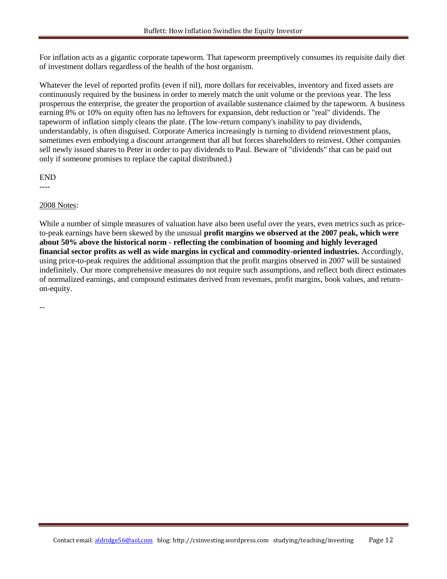For inflation acts as a gigantic corporate tapeworm. That tapeworm preemptively consumes its requisite daily diet of investment dollars regardless of the health of the host organism.

Whatever the level of reported profits (even if nil), more dollars for receivables, inventory and fixed assets are continuously required by the business in order to merely match the unit volume or the previous year. The less prosperous the enterprise, the greater the proportion of available sustenance claimed by the tapeworm. A business earning 8% or 10% on equity often has no leftovers for expansion, debt reduction or "real" dividends. The tapeworm of inflation simply cleans the plate. (The low-return company's inability to pay dividends, understandably, is often disguised. Corporate America increasingly is turning to dividend reinvestment plans, sometimes even embodying a discount arrangement that all but forces shareholders to reinvest. Other companies sell newly issued shares to Peter in order to pay dividends to Paul. Beware of "dividends" that can be paid out only if someone promises to replace the capital distributed.)

END

----

2008 Notes:

While a number of simple measures of valuation have also been useful over the years, even metrics such as priceto-peak earnings have been skewed by the unusual **profit margins we observed at the 2007 peak, which were about 50% above the historical norm - reflecting the combination of booming and highly leveraged financial sector profits as well as wide margins in cyclical and commodity-oriented industries.** Accordingly, using price-to-peak requires the additional assumption that the profit margins observed in 2007 will be sustained indefinitely. Our more comprehensive measures do not require such assumptions, and reflect both direct estimates of normalized earnings, and compound estimates derived from revenues, profit margins, book values, and returnon-equity.

--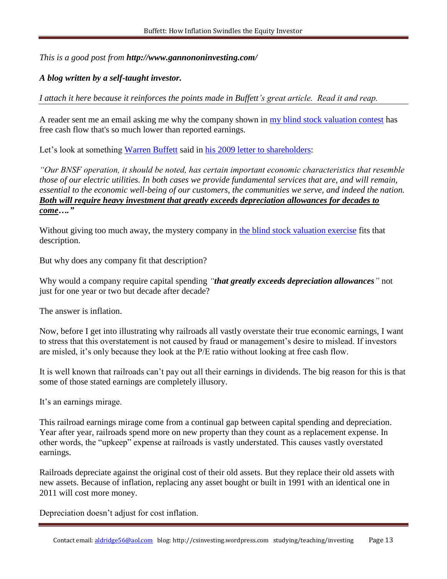*This is a good post from http://www.gannononinvesting.com/* 

# *A blog written by a self-taught investor.*

*I attach it here because it reinforces the points made in Buffett"s great article. Read it and reap.* 

A reader sent me an email asking me why the company shown in [my blind stock valuation contest](http://www.gannononinvesting.com/blog/how-much-would-you-pay-for-this-stock-blind-stock-valuation.html) has free cash flow that's so much lower than reported earnings.

Let's look at something [Warren Buffett](http://www.gurufocus.com/StockBuy.php?GuruName=Warren+Buffett) said in [his 2009 letter to shareholders:](http://www.berkshirehathaway.com/letters/letters.html)

*"Our BNSF operation, it should be noted, has certain important economic characteristics that resemble those of our electric utilities. In both cases we provide fundamental services that are, and will remain, essential to the economic well-being of our customers, the communities we serve, and indeed the nation. Both will require heavy investment that greatly exceeds depreciation allowances for decades to come…."*

Without giving too much away, the mystery company in [the blind stock valuation exercise](http://www.gannononinvesting.com/blog/how-much-would-you-pay-for-this-stock-blind-stock-valuation.html) fits that description.

But why does any company fit that description?

Why would a company require capital spending *"that greatly exceeds depreciation allowances"* not just for one year or two but decade after decade?

The answer is inflation.

Now, before I get into illustrating why railroads all vastly overstate their true economic earnings, I want to stress that this overstatement is not caused by fraud or management's desire to mislead. If investors are misled, it's only because they look at the P/E ratio without looking at free cash flow.

It is well known that railroads can't pay out all their earnings in dividends. The big reason for this is that some of those stated earnings are completely illusory.

It's an earnings mirage.

This railroad earnings mirage come from a continual gap between capital spending and depreciation. Year after year, railroads spend more on new property than they count as a replacement expense. In other words, the "upkeep" expense at railroads is vastly understated. This causes vastly overstated earnings.

Railroads depreciate against the original cost of their old assets. But they replace their old assets with new assets. Because of inflation, replacing any asset bought or built in 1991 with an identical one in 2011 will cost more money.

Depreciation doesn't adjust for cost inflation.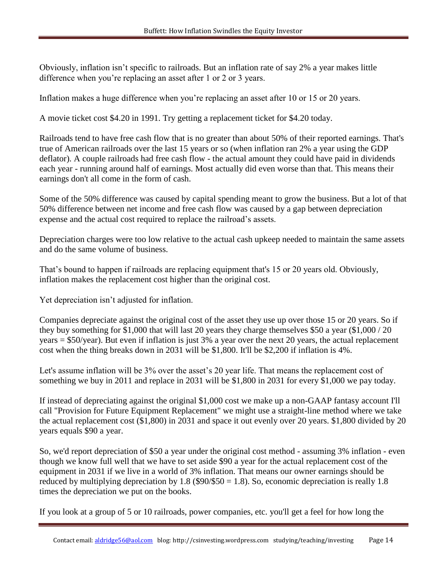Obviously, inflation isn't specific to railroads. But an inflation rate of say 2% a year makes little difference when you're replacing an asset after 1 or 2 or 3 years.

Inflation makes a huge difference when you're replacing an asset after 10 or 15 or 20 years.

A movie ticket cost \$4.20 in 1991. Try getting a replacement ticket for \$4.20 today.

Railroads tend to have free cash flow that is no greater than about 50% of their reported earnings. That's true of American railroads over the last 15 years or so (when inflation ran 2% a year using the GDP deflator). A couple railroads had free cash flow - the actual amount they could have paid in dividends each year - running around half of earnings. Most actually did even worse than that. This means their earnings don't all come in the form of cash.

Some of the 50% difference was caused by capital spending meant to grow the business. But a lot of that 50% difference between net income and free cash flow was caused by a gap between depreciation expense and the actual cost required to replace the railroad's assets.

Depreciation charges were too low relative to the actual cash upkeep needed to maintain the same assets and do the same volume of business.

That's bound to happen if railroads are replacing equipment that's 15 or 20 years old. Obviously, inflation makes the replacement cost higher than the original cost.

Yet depreciation isn't adjusted for inflation.

Companies depreciate against the original cost of the asset they use up over those 15 or 20 years. So if they buy something for \$1,000 that will last 20 years they charge themselves \$50 a year (\$1,000 / 20 years = \$50/year). But even if inflation is just 3% a year over the next 20 years, the actual replacement cost when the thing breaks down in 2031 will be \$1,800. It'll be \$2,200 if inflation is 4%.

Let's assume inflation will be 3% over the asset's 20 year life. That means the replacement cost of something we buy in 2011 and replace in 2031 will be \$1,800 in 2031 for every \$1,000 we pay today.

If instead of depreciating against the original \$1,000 cost we make up a non-GAAP fantasy account I'll call "Provision for Future Equipment Replacement" we might use a straight-line method where we take the actual replacement cost (\$1,800) in 2031 and space it out evenly over 20 years. \$1,800 divided by 20 years equals \$90 a year.

So, we'd report depreciation of \$50 a year under the original cost method - assuming 3% inflation - even though we know full well that we have to set aside \$90 a year for the actual replacement cost of the equipment in 2031 if we live in a world of 3% inflation. That means our owner earnings should be reduced by multiplying depreciation by 1.8 ( $\frac{90}{\$50} = 1.8$ ). So, economic depreciation is really 1.8 times the depreciation we put on the books.

If you look at a group of 5 or 10 railroads, power companies, etc. you'll get a feel for how long the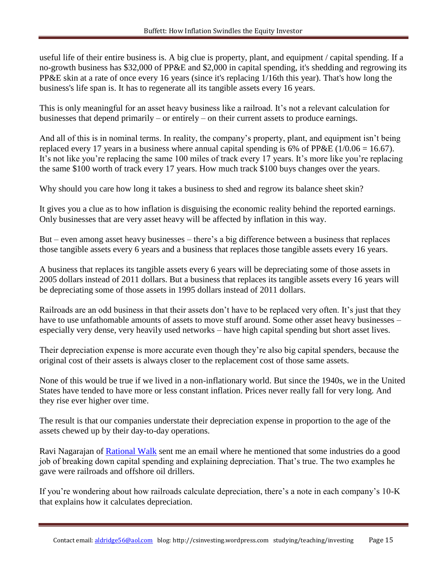useful life of their entire business is. A big clue is property, plant, and equipment / capital spending. If a no-growth business has \$32,000 of PP&E and \$2,000 in capital spending, it's shedding and regrowing its PP&E skin at a rate of once every 16 years (since it's replacing 1/16th this year). That's how long the business's life span is. It has to regenerate all its tangible assets every 16 years.

This is only meaningful for an asset heavy business like a railroad. It's not a relevant calculation for businesses that depend primarily – or entirely – on their current assets to produce earnings.

And all of this is in nominal terms. In reality, the company's property, plant, and equipment isn't being replaced every 17 years in a business where annual capital spending is 6% of PP&E (1/0.06 = 16.67). It's not like you're replacing the same 100 miles of track every 17 years. It's more like you're replacing the same \$100 worth of track every 17 years. How much track \$100 buys changes over the years.

Why should you care how long it takes a business to shed and regrow its balance sheet skin?

It gives you a clue as to how inflation is disguising the economic reality behind the reported earnings. Only businesses that are very asset heavy will be affected by inflation in this way.

But – even among asset heavy businesses – there's a big difference between a business that replaces those tangible assets every 6 years and a business that replaces those tangible assets every 16 years.

A business that replaces its tangible assets every 6 years will be depreciating some of those assets in 2005 dollars instead of 2011 dollars. But a business that replaces its tangible assets every 16 years will be depreciating some of those assets in 1995 dollars instead of 2011 dollars.

Railroads are an odd business in that their assets don't have to be replaced very often. It's just that they have to use unfathomable amounts of assets to move stuff around. Some other asset heavy businesses – especially very dense, very heavily used networks – have high capital spending but short asset lives.

Their depreciation expense is more accurate even though they're also big capital spenders, because the original cost of their assets is always closer to the replacement cost of those same assets.

None of this would be true if we lived in a non-inflationary world. But since the 1940s, we in the United States have tended to have more or less constant inflation. Prices never really fall for very long. And they rise ever higher over time.

The result is that our companies understate their depreciation expense in proportion to the age of the assets chewed up by their day-to-day operations.

Ravi Nagarajan of **Rational Walk** sent me an email where he mentioned that some industries do a good job of breaking down capital spending and explaining depreciation. That's true. The two examples he gave were railroads and offshore oil drillers.

If you're wondering about how railroads calculate depreciation, there's a note in each company's 10-K that explains how it calculates depreciation.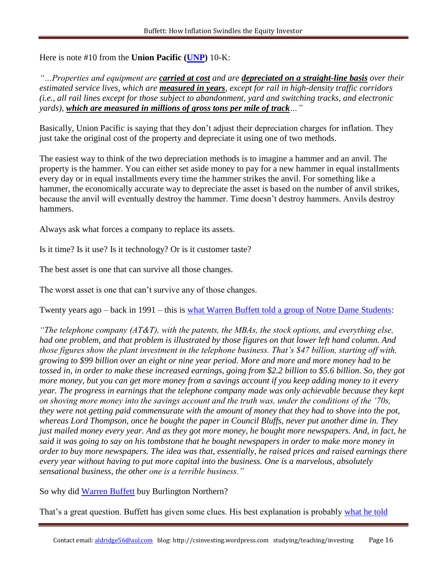Here is note #10 from the **Union Pacific [\(UNP\)](http://www.gurufocus.com/StockBuy.php?symbol=UNP)** 10-K:

*"…Properties and equipment are carried at cost and are depreciated on a straight-line basis over their estimated service lives, which are measured in years, except for rail in high-density traffic corridors (i.e., all rail lines except for those subject to abandonment, yard and switching tracks, and electronic yards), which are measured in millions of gross tons per mile of track…"*

Basically, Union Pacific is saying that they don't adjust their depreciation charges for inflation. They just take the original cost of the property and depreciate it using one of two methods.

The easiest way to think of the two depreciation methods is to imagine a hammer and an anvil. The property is the hammer. You can either set aside money to pay for a new hammer in equal installments every day or in equal installments every time the hammer strikes the anvil. For something like a hammer, the economically accurate way to depreciate the asset is based on the number of anvil strikes, because the anvil will eventually destroy the hammer. Time doesn't destroy hammers. Anvils destroy hammers.

Always ask what forces a company to replace its assets.

Is it time? Is it use? Is it technology? Or is it customer taste?

The best asset is one that can survive all those changes.

The worst asset is one that can't survive any of those changes.

Twenty years ago – back in 1991 – this is [what Warren Buffett told a group of Notre Dame Students:](http://www.tilsonfunds.com/motley_berkshire_warren_speeches.php)

*"The telephone company (AT&T), with the patents, the MBAs, the stock options, and everything else, had one problem, and that problem is illustrated by those figures on that lower left hand column. And those figures show the plant investment in the telephone business. That"s \$47 billion, starting off with, growing to \$99 billion over an eight or nine year period. More and more and more money had to be tossed in, in order to make these increased earnings, going from \$2.2 billion to \$5.6 billion. So, they got more money, but you can get more money from a savings account if you keep adding money to it every year. The progress in earnings that the telephone company made was only achievable because they kept on shoving more money into the savings account and the truth was, under the conditions of the "70s, they were not getting paid commensurate with the amount of money that they had to shove into the pot, whereas Lord Thompson, once he bought the paper in Council Bluffs, never put another dime in. They just mailed money every year. And as they got more money, he bought more newspapers. And, in fact, he said it was going to say on his tombstone that he bought newspapers in order to make more money in order to buy more newspapers. The idea was that, essentially, he raised prices and raised earnings there every year without having to put more capital into the business. One is a marvelous, absolutely sensational business, the other one is a terrible business."* 

So why did [Warren Buffett](http://www.gurufocus.com/StockBuy.php?GuruName=Warren+Buffett) buy Burlington Northern?

That's a great question. Buffett has given some clues. His best explanation is probably what he told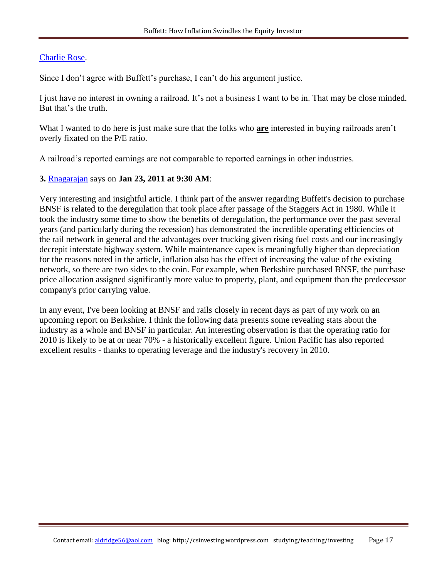## [Charlie Rose.](http://www.charlierose.com/view/interview/10711)

Since I don't agree with Buffett's purchase, I can't do his argument justice.

I just have no interest in owning a railroad. It's not a business I want to be in. That may be close minded. But that's the truth.

What I wanted to do here is just make sure that the folks who **are** interested in buying railroads aren't overly fixated on the P/E ratio.

A railroad's reported earnings are not comparable to reported earnings in other industries.

### **3.** [Rnagarajan](http://www.gurufocus.com/ic/space.php?uid=54287) says on **Jan 23, 2011 at 9:30 AM**:

Very interesting and insightful article. I think part of the answer regarding Buffett's decision to purchase BNSF is related to the deregulation that took place after passage of the Staggers Act in 1980. While it took the industry some time to show the benefits of deregulation, the performance over the past several years (and particularly during the recession) has demonstrated the incredible operating efficiencies of the rail network in general and the advantages over trucking given rising fuel costs and our increasingly decrepit interstate highway system. While maintenance capex is meaningfully higher than depreciation for the reasons noted in the article, inflation also has the effect of increasing the value of the existing network, so there are two sides to the coin. For example, when Berkshire purchased BNSF, the purchase price allocation assigned significantly more value to property, plant, and equipment than the predecessor company's prior carrying value.

In any event, I've been looking at BNSF and rails closely in recent days as part of my work on an upcoming report on Berkshire. I think the following data presents some revealing stats about the industry as a whole and BNSF in particular. An interesting observation is that the operating ratio for 2010 is likely to be at or near 70% - a historically excellent figure. Union Pacific has also reported excellent results - thanks to operating leverage and the industry's recovery in 2010.